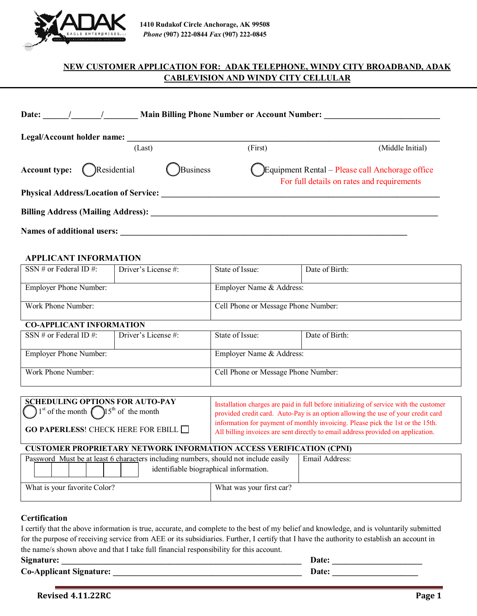

# **NEW CUSTOMER APPLICATION FOR: ADAK TELEPHONE, WINDY CITY BROADBAND, ADAK CABLEVISION AND WINDY CITY CELLULAR**

| Date:                                        |        |          | <b>Main Billing Phone Number or Account Number:</b> |                                                                                               |
|----------------------------------------------|--------|----------|-----------------------------------------------------|-----------------------------------------------------------------------------------------------|
| Legal/Account holder name:                   | (Last) |          | (First)                                             | (Middle Initial)                                                                              |
| Account type: Residential                    |        | Business |                                                     | Equipment Rental - Please call Anchorage office<br>For full details on rates and requirements |
| <b>Physical Address/Location of Service:</b> |        |          |                                                     |                                                                                               |
| <b>Billing Address (Mailing Address):</b>    |        |          |                                                     |                                                                                               |
| Names of additional users:                   |        |          |                                                     |                                                                                               |

### **APPLICANT INFORMATION**

| SSN # or Federal ID #:                 | Driver's License #: | State of Issue:                                                                        | Date of Birth: |  |
|----------------------------------------|---------------------|----------------------------------------------------------------------------------------|----------------|--|
| <b>Employer Phone Number:</b>          |                     | Employer Name & Address:                                                               |                |  |
| Work Phone Number:                     |                     | Cell Phone or Message Phone Number:                                                    |                |  |
| <b>CO-APPLICANT INFORMATION</b>        |                     |                                                                                        |                |  |
| SSN # or Federal ID #:                 | Driver's License #: | State of Issue:                                                                        | Date of Birth: |  |
| <b>Employer Phone Number:</b>          |                     | Employer Name & Address:                                                               |                |  |
| Work Phone Number:                     |                     | Cell Phone or Message Phone Number:                                                    |                |  |
|                                        |                     |                                                                                        |                |  |
| <b>SCHEDULING OPTIONS FOR AUTO-PAY</b> |                     | Installation charges are paid in full before initializing of service with the customer |                |  |

| CUSTOMER PROPRIETARY NETWORK INFORMATION ACCESS VERIFICATION (CPNI)                                               |                                                                                                                                                                            |
|-------------------------------------------------------------------------------------------------------------------|----------------------------------------------------------------------------------------------------------------------------------------------------------------------------|
| $\Box$ GO PAPERLESS! CHECK HERE FOR EBILL $\Box$                                                                  | information for payment of monthly invoicing. Please pick the 1st or the 15th.<br>All billing invoices are sent directly to email address provided on application.         |
| SCHEDULING OF HONS FOR AUTO-PAT<br>$\bigcap$ 1 <sup>st</sup> of the month $\bigcap$ 15 <sup>th</sup> of the month | Installation charges are paid in full before initializing of service with the customer<br>provided credit card. Auto-Pay is an option allowing the use of your credit card |

| <u>UUSTUMEN FNULNIELANT NETWUNN HYVNMATION AUUESS VENIFICATION (UTM)</u>            |                          |  |  |  |
|-------------------------------------------------------------------------------------|--------------------------|--|--|--|
| Password Must be at least 6 characters including numbers, should not include easily | Email Address:           |  |  |  |
| identifiable biographical information.                                              |                          |  |  |  |
| What is your favorite Color?                                                        | What was your first car? |  |  |  |

#### **Certification**

I certify that the above information is true, accurate, and complete to the best of my belief and knowledge, and is voluntarily submitted for the purpose of receiving service from AEE or its subsidiaries. Further, I certify that I have the authority to establish an account in the name/s shown above and that I take full financial responsibility for this account.

| Signature:              | <b>Date:</b> |
|-------------------------|--------------|
| Co-Applicant Signature: | Date:        |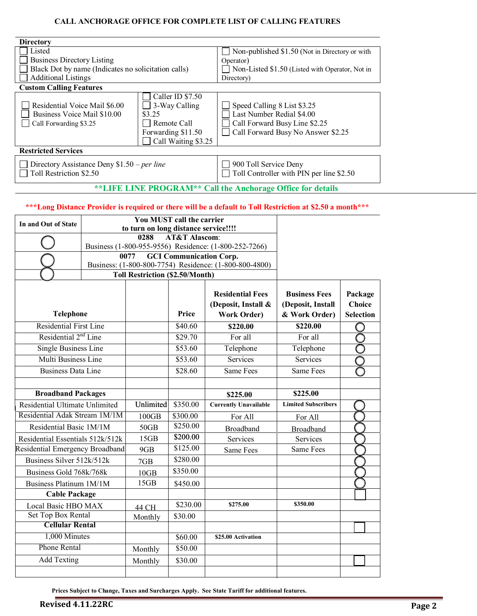### **CALL ANCHORAGE OFFICE FOR COMPLETE LIST OF CALLING FEATURES**

| <b>Directory</b>                                                        |  |                                                                   |                                                          |                                                                                                           |                                                 |                  |
|-------------------------------------------------------------------------|--|-------------------------------------------------------------------|----------------------------------------------------------|-----------------------------------------------------------------------------------------------------------|-------------------------------------------------|------------------|
| Listed                                                                  |  |                                                                   | Non-published \$1.50 (Not in Directory or with           |                                                                                                           |                                                 |                  |
| <b>Business Directory Listing</b>                                       |  | Operator)                                                         |                                                          |                                                                                                           |                                                 |                  |
| <b>Additional Listings</b>                                              |  | Black Dot by name (Indicates no solicitation calls)<br>Directory) |                                                          |                                                                                                           | Non-Listed \$1.50 (Listed with Operator, Not in |                  |
| <b>Custom Calling Features</b>                                          |  |                                                                   |                                                          |                                                                                                           |                                                 |                  |
|                                                                         |  | Caller ID \$7.50                                                  |                                                          |                                                                                                           |                                                 |                  |
| Residential Voice Mail \$6.00                                           |  | 3-Way Calling<br>Speed Calling 8 List \$3.25                      |                                                          |                                                                                                           |                                                 |                  |
| Business Voice Mail \$10.00                                             |  | \$3.25                                                            | Last Number Redial \$4.00                                |                                                                                                           |                                                 |                  |
| Call Forwarding \$3.25                                                  |  |                                                                   | Remote Call                                              |                                                                                                           | Call Forward Busy Line \$2.25                   |                  |
|                                                                         |  |                                                                   | Forwarding \$11.50<br>Call Forward Busy No Answer \$2.25 |                                                                                                           |                                                 |                  |
| <b>Restricted Services</b>                                              |  | Call Waiting \$3.25                                               |                                                          |                                                                                                           |                                                 |                  |
|                                                                         |  |                                                                   |                                                          |                                                                                                           |                                                 |                  |
| Directory Assistance Deny $$1.50$ – per line<br>Toll Restriction \$2.50 |  |                                                                   |                                                          | 900 Toll Service Deny                                                                                     | Toll Controller with PIN per line \$2.50        |                  |
|                                                                         |  |                                                                   |                                                          |                                                                                                           |                                                 |                  |
|                                                                         |  |                                                                   |                                                          | ** LIFE LINE PROGRAM** Call the Anchorage Office for details                                              |                                                 |                  |
|                                                                         |  |                                                                   |                                                          | ***Long Distance Provider is required or there will be a default to Toll Restriction at \$2.50 a month*** |                                                 |                  |
|                                                                         |  |                                                                   | You MUST call the carrier                                |                                                                                                           |                                                 |                  |
| In and Out of State                                                     |  | to turn on long distance service!!!!                              |                                                          |                                                                                                           |                                                 |                  |
|                                                                         |  | 0288                                                              | <b>AT&amp;T Alascom:</b>                                 |                                                                                                           |                                                 |                  |
|                                                                         |  |                                                                   |                                                          | Business (1-800-955-9556) Residence: (1-800-252-7266)                                                     |                                                 |                  |
|                                                                         |  | 0077                                                              | <b>GCI Communication Corp.</b>                           |                                                                                                           |                                                 |                  |
|                                                                         |  | <b>Toll Restriction (\$2.50/Month)</b>                            |                                                          | Business: (1-800-800-7754) Residence: (1-800-800-4800)                                                    |                                                 |                  |
|                                                                         |  |                                                                   |                                                          |                                                                                                           |                                                 |                  |
|                                                                         |  |                                                                   |                                                          |                                                                                                           |                                                 |                  |
|                                                                         |  |                                                                   |                                                          |                                                                                                           |                                                 |                  |
|                                                                         |  |                                                                   |                                                          | <b>Residential Fees</b>                                                                                   | <b>Business Fees</b>                            | Package          |
|                                                                         |  |                                                                   | Price                                                    | (Deposit, Install &                                                                                       | (Deposit, Install                               | <b>Choice</b>    |
| <b>Telephone</b><br><b>Residential First Line</b>                       |  |                                                                   | \$40.60                                                  | <b>Work Order)</b>                                                                                        | & Work Order)                                   | <b>Selection</b> |
| Residential 2 <sup>nd</sup> Line                                        |  |                                                                   | \$29.70                                                  | \$220.00<br>For all                                                                                       | \$220.00                                        |                  |
|                                                                         |  |                                                                   |                                                          |                                                                                                           | For all                                         |                  |
| <b>Single Business Line</b><br>Multi Business Line                      |  |                                                                   | \$53.60<br>\$53.60                                       | Telephone<br>Services                                                                                     | Telephone<br><b>Services</b>                    |                  |
|                                                                         |  |                                                                   |                                                          |                                                                                                           |                                                 |                  |
| <b>Business Data Line</b>                                               |  |                                                                   | \$28.60                                                  | Same Fees                                                                                                 | Same Fees                                       |                  |
|                                                                         |  |                                                                   |                                                          |                                                                                                           | \$225.00                                        |                  |
| <b>Broadband Packages</b><br>Residential Ultimate Unlimited             |  | Unlimited                                                         | \$350.00                                                 | \$225.00<br><b>Currently Unavailable</b>                                                                  | <b>Limited Subscribers</b>                      |                  |
| Residential Adak Stream 1M/1M                                           |  | 100GB                                                             | \$300.00                                                 | For All                                                                                                   | For All                                         |                  |
| Residential Basic 1M/1M                                                 |  | $50\mathrm{GB}$                                                   | \$250.00                                                 |                                                                                                           |                                                 |                  |
| Residential Essentials 512k/512k                                        |  | 15GB                                                              | \$200.00                                                 | Broadband<br>Services                                                                                     | Broadband<br>Services                           |                  |
| Residential Emergency Broadband                                         |  | 9GB                                                               | \$125.00                                                 | Same Fees                                                                                                 | Same Fees                                       |                  |
| Business Silver 512k/512k                                               |  | 7GB                                                               | \$280.00                                                 |                                                                                                           |                                                 |                  |
| Business Gold 768k/768k                                                 |  | 10GB                                                              | \$350.00                                                 |                                                                                                           |                                                 |                  |
| Business Platinum 1M/1M                                                 |  | 15GB                                                              | \$450.00                                                 |                                                                                                           |                                                 |                  |
| <b>Cable Package</b>                                                    |  |                                                                   |                                                          |                                                                                                           |                                                 |                  |
| Local Basic HBO MAX                                                     |  | 44 CH                                                             | \$230.00                                                 | \$275.00                                                                                                  | \$350.00                                        |                  |
| Set Top Box Rental<br><b>Cellular Rental</b>                            |  | Monthly                                                           | \$30.00                                                  |                                                                                                           |                                                 |                  |

**Prices Subject to Change, Taxes and Surcharges Apply. See State Tariff for additional features.** 

**\$25.00 Activation**

1,000 Minutes \$60.00 Phone Rental Monthly \$50.00

Add Texting Monthly | \$30.00

Monthly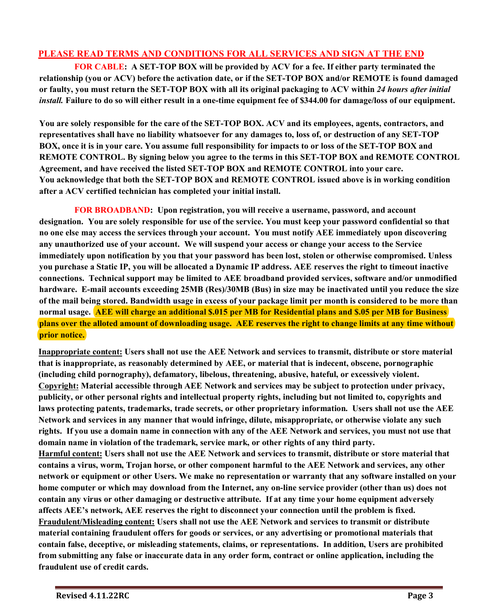# **PLEASE READ TERMS AND CONDITIONS FOR ALL SERVICES AND SIGN AT THE END**

**FOR CABLE: A SET-TOP BOX will be provided by ACV for a fee. If either party terminated the relationship (you or ACV) before the activation date, or if the SET-TOP BOX and/or REMOTE is found damaged or faulty, you must return the SET-TOP BOX with all its original packaging to ACV within** *24 hours after initial install.* **Failure to do so will either result in a one-time equipment fee of \$344.00 for damage/loss of our equipment.** 

**You are solely responsible for the care of the SET-TOP BOX. ACV and its employees, agents, contractors, and representatives shall have no liability whatsoever for any damages to, loss of, or destruction of any SET-TOP BOX, once it is in your care. You assume full responsibility for impacts to or loss of the SET-TOP BOX and REMOTE CONTROL. By signing below you agree to the terms in this SET-TOP BOX and REMOTE CONTROL Agreement, and have received the listed SET-TOP BOX and REMOTE CONTROL into your care. You acknowledge that both the SET-TOP BOX and REMOTE CONTROL issued above is in working condition after a ACV certified technician has completed your initial install.** 

**FOR BROADBAND: Upon registration, you will receive a username, password, and account designation. You are solely responsible for use of the service. You must keep your password confidential so that no one else may access the services through your account. You must notify AEE immediately upon discovering any unauthorized use of your account. We will suspend your access or change your access to the Service immediately upon notification by you that your password has been lost, stolen or otherwise compromised. Unless you purchase a Static IP, you will be allocated a Dynamic IP address. AEE reserves the right to timeout inactive connections. Technical support may be limited to AEE broadband provided services, software and/or unmodified hardware. E-mail accounts exceeding 25MB (Res)/30MB (Bus) in size may be inactivated until you reduce the size of the mail being stored. Bandwidth usage in excess of your package limit per month is considered to be more than normal usage. AEE will charge an additional \$.015 per MB for Residential plans and \$.05 per MB for Business plans over the alloted amount of downloading usage. AEE reserves the right to change limits at any time without prior notice.** 

**Inappropriate content: Users shall not use the AEE Network and services to transmit, distribute or store material that is inappropriate, as reasonably determined by AEE, or material that is indecent, obscene, pornographic (including child pornography), defamatory, libelous, threatening, abusive, hateful, or excessively violent. Copyright: Material accessible through AEE Network and services may be subject to protection under privacy, publicity, or other personal rights and intellectual property rights, including but not limited to, copyrights and laws protecting patents, trademarks, trade secrets, or other proprietary information. Users shall not use the AEE Network and services in any manner that would infringe, dilute, misappropriate, or otherwise violate any such rights. If you use a domain name in connection with any of the AEE Network and services, you must not use that domain name in violation of the trademark, service mark, or other rights of any third party. Harmful content: Users shall not use the AEE Network and services to transmit, distribute or store material that contains a virus, worm, Trojan horse, or other component harmful to the AEE Network and services, any other network or equipment or other Users. We make no representation or warranty that any software installed on your home computer or which may download from the Internet, any on-line service provider (other than us) does not contain any virus or other damaging or destructive attribute. If at any time your home equipment adversely affects AEE's network, AEE reserves the right to disconnect your connection until the problem is fixed. Fraudulent/Misleading content: Users shall not use the AEE Network and services to transmit or distribute material containing fraudulent offers for goods or services, or any advertising or promotional materials that contain false, deceptive, or misleading statements, claims, or representations. In addition, Users are prohibited from submitting any false or inaccurate data in any order form, contract or online application, including the fraudulent use of credit cards.**